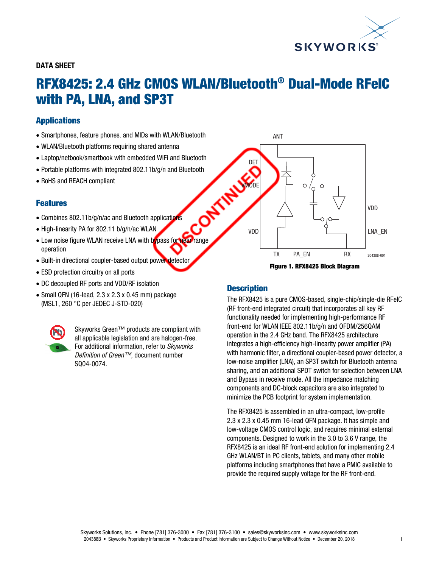

VDD

PA\_EN RX 204388-001

LNA\_EN

# DATA SHEET

# RFX8425: 2.4 GHz CMOS WLAN/Bluetooth® Dual-Mode RFeIC with PA, LNA, and SP3T

# Applications

- Smartphones, feature phones. and MIDs with WLAN/Bluetooth
- WLAN/Bluetooth platforms requiring shared antenna
- Laptop/netbook/smartbook with embedded WiFi and Bluetooth
- Portable platforms with integrated 802.11b/g/n and Bluetooth CONTINUES
- RoHS and REACH compliant

# Features

- Combines 802.11b/g/n/ac and Bluetooth applications
- High-linearity PA for 802.11 b/g/n/ac WLAN
- Low noise figure WLAN receive LNA with bypass for near range operation
- Built-in directional coupler-based output power detector
- ESD protection circuitry on all ports
- DC decoupled RF ports and VDD/RF isolation
- $\bullet$  Small QFN (16-lead, 2.3 x 2.3 x 0.45 mm) package (MSL1, 260 $\degree$ C per JEDEC J-STD-020)



Skyworks Green™ products are compliant with all applicable legislation and are halogen-free. For additional information, refer to *Skyworks Definition of Green™*, document number SQ04-0074.

## **Description**

DET

VDD

TX

ANT

The RFX8425 is a pure CMOS-based, single-chip/single-die RFeIC (RF front-end integrated circuit) that incorporates all key RF functionality needed for implementing high-performance RF front-end for WLAN IEEE 802.11b/g/n and OFDM/256QAM operation in the 2.4 GHz band. The RFX8425 architecture integrates a high-efficiency high-linearity power amplifier (PA) with harmonic filter, a directional coupler-based power detector, a low-noise amplifier (LNA), an SP3T switch for Bluetooth antenna sharing, and an additional SPDT switch for selection between LNA and Bypass in receive mode. All the impedance matching components and DC-block capacitors are also integrated to minimize the PCB footprint for system implementation.

Figure 1. RFX8425 Block Diagram

The RFX8425 is assembled in an ultra-compact, low-profile 2.3 x 2.3 x 0.45 mm 16-lead QFN package. It has simple and low-voltage CMOS control logic, and requires minimal external components. Designed to work in the 3.0 to 3.6 V range, the RFX8425 is an ideal RF front-end solution for implementing 2.4 GHz WLAN/BT in PC clients, tablets, and many other mobile platforms including smartphones that have a PMIC available to provide the required supply voltage for the RF front-end.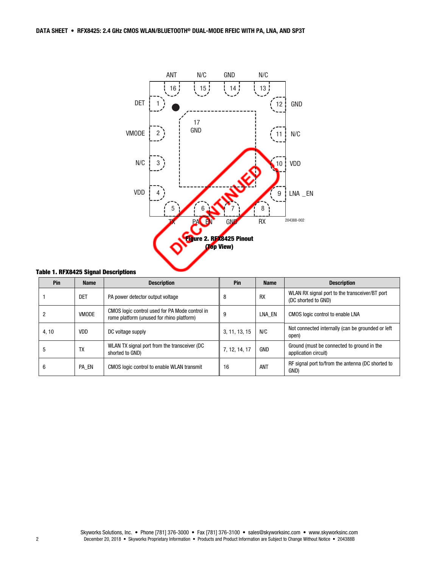

#### Table 1. RFX8425 Signal Descriptions

| <b>Pin</b> | <b>Name</b>  | <b>Description</b>                                                                          | Pin           | <b>Name</b> | <b>Description</b>                                                    |
|------------|--------------|---------------------------------------------------------------------------------------------|---------------|-------------|-----------------------------------------------------------------------|
|            | DET          | PA power detector output voltage                                                            | 8             | <b>RX</b>   | WLAN RX signal port to the transceiver/BT port<br>(DC shorted to GND) |
|            | <b>VMODE</b> | CMOS logic control used for PA Mode control in<br>rome platform (unused for rhino platform) | 9             | LNA EN      | CMOS logic control to enable LNA                                      |
| 4, 10      | <b>VDD</b>   | DC voltage supply                                                                           | 3, 11, 13, 15 | N/C         | Not connected internally (can be grounded or left<br>open)            |
| 5          | TX           | WLAN TX signal port from the transceiver (DC<br>shorted to GND)                             | 7, 12, 14, 17 | <b>GND</b>  | Ground (must be connected to ground in the<br>application circuit)    |
| 6          | <b>PA EN</b> | CMOS logic control to enable WLAN transmit                                                  | 16            | <b>ANT</b>  | RF signal port to/from the antenna (DC shorted to<br>GND)             |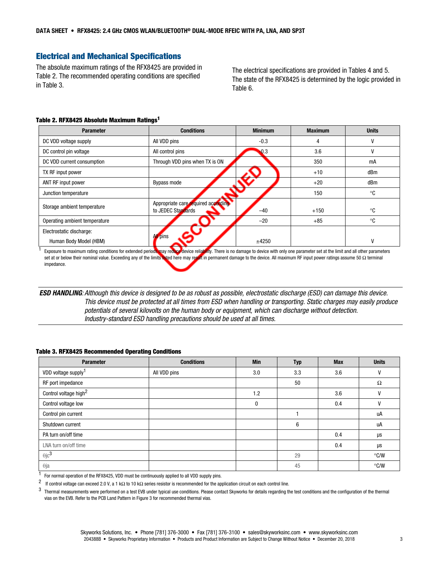# Electrical and Mechanical Specifications

The absolute maximum ratings of the RFX8425 are provided in Table 2. The recommended operating conditions are specified in Table 3.

The electrical specifications are provided in Tables 4 and 5. The state of the RFX8425 is determined by the logic provided in Table 6.

#### Table 2. RFX8425 Absolute Maximum Ratings1

| <b>Parameter</b>              | <b>Conditions</b>                                         | <b>Minimum</b> | <b>Maximum</b> | <b>Units</b> |
|-------------------------------|-----------------------------------------------------------|----------------|----------------|--------------|
| DC VDD voltage supply         | All VDD pins                                              | $-0.3$         | 4              |              |
| DC control pin voltage        | All control pins                                          | $\blacksquare$ | 3.6            |              |
| DC VDD current consumption    | Through VDD pins when TX is ON                            |                | 350            | mA           |
| TX RF input power             |                                                           |                | $+10$          | dBm          |
| ANT RF input power            | Bypass mode                                               |                | $+20$          | dBm          |
| Junction temperature          |                                                           |                | 150            | $^{\circ}$ C |
| Storage ambient temperature   | Appropriate care required according<br>to JEDEC Standards | $-40$          | $+150$         | $^{\circ}$ C |
| Operating ambient temperature |                                                           | $-20$          | $+85$          | $^{\circ}$ C |
| Electrostatic discharge:      | All pins                                                  |                |                |              |
| Human Body Model (HBM)        |                                                           | ±4250          |                |              |

<sup>1</sup> Exposure to maximum rating conditions for extended periods may reduce device reliability. There is no damage to device with only one parameter set at the limit and all other parameters set at or below their nominal value. Exceeding any of the limits listed here may result in permanent damage to the device. All maximum RF input power ratings assume 50 Ω terminal impedance.

ESD HANDLING*: Although this device is designed to be as robust as possible, electrostatic discharge (ESD) can damage this device. This device must be protected at all times from ESD when handling or transporting. Static charges may easily produce potentials of several kilovolts on the human body or equipment, which can discharge without detection. Industry-standard ESD handling precautions should be used at all times.* 

#### Table 3. RFX8425 Recommended Operating Conditions

| <b>Parameter</b>                  | <b>Conditions</b> | <b>Min</b> | <b>Typ</b> | <b>Max</b> | <b>Units</b>  |
|-----------------------------------|-------------------|------------|------------|------------|---------------|
| VDD voltage supply <sup>1</sup>   | All VDD pins      | 3.0        | 3.3        | 3.6        | V             |
| RF port impedance                 |                   |            | 50         |            | Ω             |
| Control voltage high <sup>2</sup> |                   | 1.2        |            | 3.6        | V             |
| Control voltage low               |                   | 0          |            | 0.4        | V             |
| Control pin current               |                   |            |            |            | uA            |
| Shutdown current                  |                   |            | 6          |            | uA            |
| PA turn on/off time               |                   |            |            | 0.4        | μs            |
| LNA turn on/off time              |                   |            |            | 0.4        | μs            |
| $\theta$ jc <sup>3</sup>          |                   |            | 29         |            | $\degree$ C/W |
| $\theta$ ja                       |                   |            | 45         |            | $\degree$ C/W |

1 For normal operation of the RFX8425, VDD must be continuously applied to all VDD supply pins.

2 If control voltage can exceed 2.0 V, a 1 kΩ to 10 kΩ series resistor is recommended for the application circuit on each control line.

<sup>3</sup> Thermal measurements were performed on a test EVB under typical use conditions. Please contact Skyworks for details regarding the test conditions and the configuration of the thermal vias on the EVB. Refer to the PCB Land Pattern in Figure 3 for recommended thermal vias.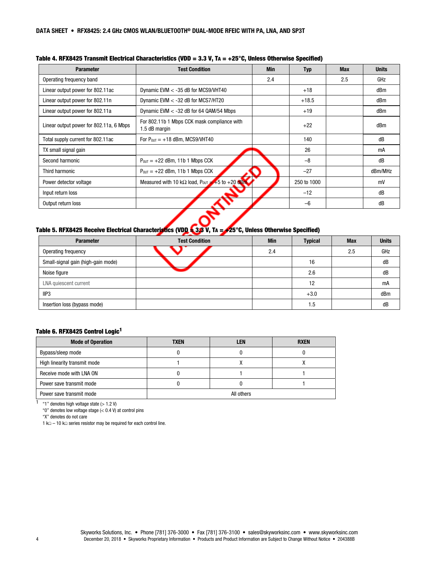| <b>Parameter</b>                        | <b>Test Condition</b>                                        | <b>Min</b> | <b>Typ</b>  | <b>Max</b> | <b>Units</b> |
|-----------------------------------------|--------------------------------------------------------------|------------|-------------|------------|--------------|
| Operating frequency band                |                                                              | 2.4        |             | 2.5        | GHz          |
| Linear output power for 802.11ac        | Dynamic EVM $<$ -35 dB for MCS9/VHT40                        |            | $+18$       |            | dBm          |
| Linear output power for 802.11n         | Dynamic EVM $<$ -32 dB for MCS7/HT20                         |            | $+18.5$     |            | dBm          |
| Linear output power for 802.11a         | Dynamic EVM $<$ -32 dB for 64 QAM/54 Mbps                    |            | $+19$       |            | dBm          |
| Linear output power for 802.11a, 6 Mbps | For 802.11b 1 Mbps CCK mask compliance with<br>1.5 dB margin |            | $+22$       |            | dBm          |
| Total supply current for 802.11ac       | For $P_{\text{OUT}} = +18$ dBm, MCS9/VHT40                   |            | 140         |            | dB           |
| TX small signal gain                    |                                                              |            | 26          |            | mA           |
| Second harmonic                         | $P_{OUT} = +22$ dBm, 11b 1 Mbps CCK                          |            | $-8$        |            | dB           |
| Third harmonic                          | $P_{OUT} = +22$ dBm, 11b 1 Mbps CCK                          |            | $-27$       |            | dBm/MHz      |
| Power detector voltage                  | Measured with 10 k $\Omega$ load, Pour = +5 to +20 dBm       |            | 250 to 1000 |            | mV           |
| Input return loss                       |                                                              |            | $-12$       |            | dB           |
| Output return loss                      |                                                              |            | $-6$        |            | dB           |

#### Table 4. RFX8425 Transmit Electrical Characteristics (VDD = 3.3 V, TA = +25**°**C, Unless Otherwise Specified)

# Table 5. RFX8425 Receive Electrical Characteristics (VDD = 3.3 V, TA = +25**°**C, Unless Otherwise Specified)

| <b>Parameter</b>                   | <b>Test Condition</b> | <b>Min</b> | <b>Typical</b> | <b>Max</b> | <b>Units</b> |
|------------------------------------|-----------------------|------------|----------------|------------|--------------|
| Operating frequency                |                       | 2.4        |                | 2.5        | GHz          |
| Small-signal gain (high-gain mode) |                       |            | 16             |            | dB           |
| Noise figure                       |                       |            | 2.6            |            | dB           |
| LNA quiescent current              |                       |            | 12             |            | mA           |
| IIP3                               |                       |            | $+3.0$         |            | dBm          |
| Insertion loss (bypass mode)       |                       |            | 1.5            |            | dB           |

O

#### Table 6. RFX8425 Control Logic1

| <b>Mode of Operation</b>     | TXEN | LEN        | <b>RXEN</b> |  |
|------------------------------|------|------------|-------------|--|
| Bypass/sleep mode            |      |            |             |  |
| High linearity transmit mode |      |            |             |  |
| Receive mode with LNA ON     |      |            |             |  |
| Power save transmit mode     |      |            |             |  |
| Power save transmit mode     |      | All others |             |  |

 $\frac{1}{1}$  "1" denotes high voltage state (> 1.2 V)

"0" denotes low voltage stage  $( $0.4$  V) at control pins$ 

"X" denotes do not care

1 kΩ – 10 kΩ series resistor may be required for each control line.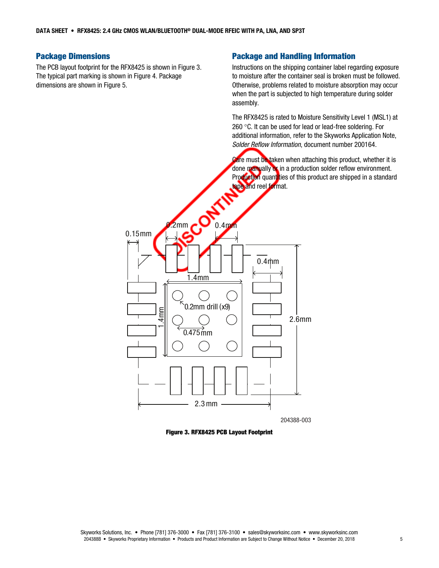# Package Dimensions

The PCB layout footprint for the RFX8425 is shown in Figure 3. The typical part marking is shown in Figure 4. Package dimensions are shown in Figure 5.

# Package and Handling Information

Instructions on the shipping container label regarding exposure to moisture after the container seal is broken must be followed. Otherwise, problems related to moisture absorption may occur when the part is subjected to high temperature during solder assembly.

The RFX8425 is rated to Moisture Sensitivity Level 1 (MSL1) at 260 $\degree$ C. It can be used for lead or lead-free soldering. For additional information, refer to the Skyworks Application Note, *Solder Reflow Information*, document number 200164.

Care must be taken when attaching this product, whether it is done manually or in a production solder reflow environment. Production quantities of this product are shipped in a standard



204388-003

Figure 3. RFX8425 PCB Layout Footprint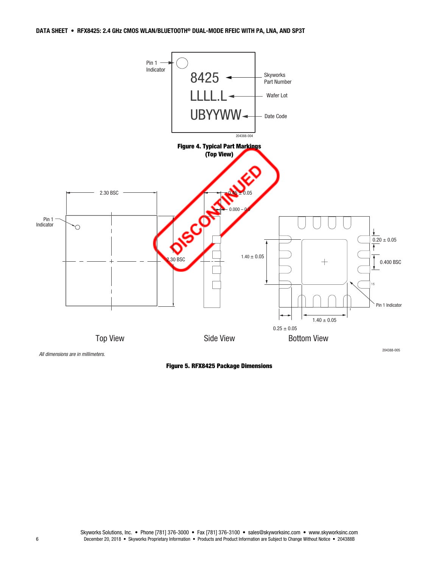